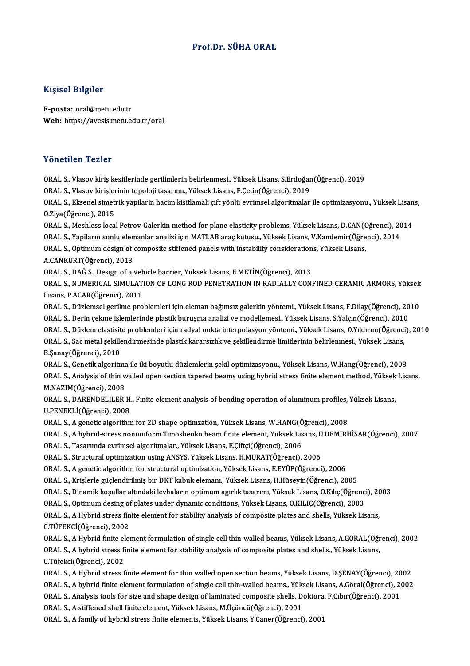### Prof.Dr. SÜHA ORAL

#### Kişisel Bilgiler

E-posta: oral@metu.edu.tr Web: https://avesis.metu.edu.tr/oral

#### Yönetilen Tezler

Yönetilen Tezler<br>ORAL S., Vlasov kiriş kesitlerinde gerilimlerin belirlenmesi., Yüksek Lisans, S.Erdoğan(Öğrenci), 2019<br>ORAL S. Vlasov kirişlerinin tanaloji tasarımı, Yüksek Lisans, E.Cetin(Öğrenci), 2019 1 Onosnon 1 onos<br>ORAL S., Vlasov kiriş kesitlerinde gerilimlerin belirlenmesi., Yüksek Lisans, S.Erdoğar<br>ORAL S., Vlasov kirişlerinin topoloji tasarımı., Yüksek Lisans, F.Çetin(Öğrenci), 2019<br>ORAL S., Eksenel simetrik yanı ORAL S., Vlasov kiriş kesitlerinde gerilimlerin belirlenmesi., Yüksek Lisans, S.Erdoğan(Öğrenci), 2019<br>ORAL S., Vlasov kirişlerinin topoloji tasarımı., Yüksek Lisans, F.Çetin(Öğrenci), 2019<br>ORAL S., Eksenel simetrik yapila ORAL S., Vlasov kirişler<br>ORAL S., Eksenel simet<br>O.Ziya(Öğrenci), 2015<br>ORAL S. Meshless loca ORAL S., Eksenel simetrik yapilarin hacim kisitlamali çift yönlü evrimsel algoritmalar ile optimizasyonu., Yüksek Lisan<br>O.Ziya(Öğrenci), 2015<br>ORAL S., Meshless local Petrov-Galerkin method for plane elasticity problems, Yü O.Ziya(Öğrenci), 2015<br>ORAL S., Meshless local Petrov-Galerkin method for plane elasticity problems, Yüksek Lisans, D.CAN(Öğrenci), 20<br>ORAL S., Yapiların sonlu elemanlar analizi için MATLAB araç kutusu., Yüksek Lisans, V.Ka ORAL S., Meshless local Petrov-Galerkin method for plane elasticity problems, Yüksek Lisans, D.CAN(Č<br>ORAL S., Yapiların sonlu elemanlar analizi için MATLAB araç kutusu., Yüksek Lisans, V.Kandemir(Öğre<br>ORAL S., Optimum desi ORAL S., Yapiların sonlu elemanlar analizi için MATLAB araç kutusu., Yüksek Lisans, V.Kandemir(Öğrenci), 2014<br>ORAL S., Optimum design of composite stiffened panels with instability considerations, Yüksek Lisans,<br>A.CANKURT( ORAL S., Optimum design of composite stiffened panels with instability consideration<br>A.CANKURT(Öğrenci), 2013<br>ORAL S., DAĞ S., Design of a vehicle barrier, Yüksek Lisans, E.METİN(Öğrenci), 2013<br>ORAL S. NUMERICAL SIMIL ATIO A.CANKURT(Öğrenci), 2013<br>ORAL S., DAĞ S., Design of a vehicle barrier, Yüksek Lisans, E.METİN(Öğrenci), 2013<br>ORAL S., NUMERICAL SIMULATION OF LONG ROD PENETRATION IN RADIALLY CONFINED CERAMIC ARMORS, Yüksek<br>Lisans, B.ACAR( ORAL S., DAĞ S., Design of a veh<br>ORAL S., NUMERICAL SIMULAT<br>Lisans, P.ACAR(Öğrenci), 2011<br>OPAL S. Dürlameal sarilma pro ORAL S., NUMERICAL SIMULATION OF LONG ROD PENETRATION IN RADIALLY CONFINED CERAMIC ARMORS, Yüksek<br>Lisans, P.ACAR(Öğrenci), 2011<br>ORAL S., Düzlemsel gerilme problemleri için eleman bağımsız galerkin yöntemi., Yüksek Lisans, Lisans, P.ACAR(Öğrenci), 2011<br>ORAL S., Düzlemsel gerilme problemleri için eleman bağımsız galerkin yöntemi., Yüksek Lisans, F.Dilay(Öğrenci), 20<br>ORAL S., Derin çekme işlemlerinde plastik buruşma analizi ve modellemesi., Yü ORAL S., Düzlemsel gerilme problemleri için eleman bağımsız galerkin yöntemi., Yüksek Lisans, F.Dilay(Öğrenci), 2010<br>ORAL S., Derin çekme işlemlerinde plastik buruşma analizi ve modellemesi., Yüksek Lisans, S.Yalçın(Öğrenc ORAL S., Derin çekme işlemlerinde plastik buruşma analizi ve modellemesi., Yüksek Lisans, S.Yalçın(Öğrenci), 2010<br>ORAL S., Düzlem elastisite problemleri için radyal nokta interpolasyon yöntemi., Yüksek Lisans, O.Yıldırım(Ö ORAL S., Düzlem elastisite problemleri için radyal nokta interpolasyon yöntemi., Yüksek Lisans, O.Yıldırım(Öğrenci), 2010 ORAL S.,Genetikalgoritma ile ikiboyutlu düzlemlerinşekiloptimizasyonu.,YüksekLisans,W.Hang(Öğrenci),2008 B.Şanay(Öğrenci), 2010<br>ORAL S., Genetik algoritma ile iki boyutlu düzlemlerin şekil optimizasyonu., Yüksek Lisans, W.Hang(Öğrenci), 2008<br>ORAL S., Analysis of thin walled open section tapered beams using hybrid stress finit ORAL S., Genetik algoritma<br>ORAL S., Analysis of thin w<br>M.NAZIM(Öğrenci), 2008<br>ORAL S. DARENDELİLER ORAL S., Analysis of thin walled open section tapered beams using hybrid stress finite element method, Yüksek<br>M.NAZIM(Öğrenci), 2008<br>ORAL S., DARENDELİLER H., Finite element analysis of bending operation of aluminum profil M.NAZIM(Öğrenci), 2008<br>ORAL S., DARENDELİLER H., Finite element analysis of bending operation of aluminum profiles, Yüksek Lisans,<br>U.PENEKLİ(Öğrenci), 2008 ORAL S., DARENDELİLER H., Finite element analysis of bending operation of aluminum profiles,<br>U.PENEKLİ(Öğrenci), 2008<br>ORAL S., A genetic algorithm for 2D shape optimzation, Yüksek Lisans, W.HANG(Öğrenci), 2008<br>ORAL S. A by U.PENEKLİ(Öğrenci), 2008<br>ORAL S., A genetic algorithm for 2D shape optimzation, Yüksek Lisans, W.HANG(Öğrenci), 2008<br>ORAL S., A hybrid-stress nonuniform Timoshenko beam finite element, Yüksek Lisans, U.DEMİRHİSAR(Öğrenci), ORAL S., A genetic algorithm for 2D shape optimzation, Yüksek Lisans, W.HANG(Ö<br>ORAL S., A hybrid-stress nonuniform Timoshenko beam finite element, Yüksek Lis<br>ORAL S., Tasarımda evrimsel algoritmalar., Yüksek Lisans, E.Çift ORAL S., A hybrid-stress nonuniform Timoshenko beam finite element, Yüksek Lisans, U<br>ORAL S., Tasarımda evrimsel algoritmalar., Yüksek Lisans, E.Çiftçi(Öğrenci), 2006<br>ORAL S., Structural optimization using ANSYS, Yüksek Li ORAL S., Tasarımda evrimsel algoritmalar., Yüksek Lisans, E.Çiftçi(Öğrenci), 2006<br>ORAL S., Structural optimization using ANSYS, Yüksek Lisans, H.MURAT(Öğrenci), 2006<br>ORAL S., A genetic algorithm for structural optimization ORAL S.,Krişlerle güçlendirilmişbirDKTkabukelemanı.,YüksekLisans,H.Hüseyin(Öğrenci),2005 ORAL S., A genetic algorithm for structural optimization, Yüksek Lisans, E.EYÜP(Öğrenci), 2006<br>ORAL S., Krişlerle güçlendirilmiş bir DKT kabuk elemanı., Yüksek Lisans, H.Hüseyin(Öğrenci), 2005<br>ORAL S., Dinamik koşullar alt ORAL S., Krişlerle güçlendirilmiş bir DKT kabuk elemanı., Yüksek Lisans, H.Hüseyin(Öğrenci), 2005<br>ORAL S., Dinamik koşullar altındaki levhaların optimum agırlık tasarımı, Yüksek Lisans, O.Kılıç(Öğrenc<br>ORAL S., Optimum desi ORAL S., Dinamik koşullar altındaki levhaların optimum agırlık tasarımı, Yüksek Lisans, O.Kılıç(Öğrenci), 20<br>ORAL S., Optimum desing of plates under dynamic conditions, Yüksek Lisans, O.KILIÇ(Öğrenci), 2003<br>ORAL S., A Hybr ORAL S., Optimum desing of plates under dynamic conditions, Yüksek Lisans, O.KILIÇ(Öğrenci), 2003<br>ORAL S., A Hybrid stress finite element for stability analysis of composite plates and shells, Yüksek Lisans,<br>C.TÜFEKCİ(Öğre ORAL S., A Hybrid stress finite element for stability analysis of composite plates and shells, Yüksek Lisans,<br>C.TÜFEKCİ(Öğrenci), 2002<br>ORAL S., A Hybrid finite element formulation of single cell thin-walled beams, Yüksek L C.TÜFEKCİ(Öğrenci), 2002<br>ORAL S., A Hybrid finite element formulation of single cell thin-walled beams, Yüksek Lisans, A.GÖRAL(Öğr<br>ORAL S., A hybrid stress finite element for stability analysis of composite plates and shel ORAL S., A Hybrid finite el<br>ORAL S., A hybrid stress fi<br>C.Tüfekci(Öğrenci), 2002<br>OPAL S. A Hybrid stress f ORAL S., A hybrid stress finite element for stability analysis of composite plates and shells., Yüksek Lisans,<br>C.Tüfekci(Öğrenci), 2002<br>ORAL S., A Hybrid stress finite element for thin walled open section beams, Yüksek Lis C.Tüfekci(Öğrenci), 2002<br>ORAL S., A Hybrid stress finite element for thin walled open section beams, Yüksek Lisans, D.ŞENAY(Öğrenci), 2002<br>ORAL S., A hybrid finite element formulation of single cell thin-walled beams., Yük ORAL S., A Hybrid stress finite element for thin walled open section beams, Yüksek Lisans, D.ŞENAY(Öğrenci), 20<br>ORAL S., A hybrid finite element formulation of single cell thin-walled beams., Yüksek Lisans, A.Göral(Öğrenci ORAL S., A hybrid finite element formulation of single cell thin-walled beams., Yüksek<br>ORAL S., Analysis tools for size and shape design of laminated composite shells, D.<br>ORAL S., A stiffened shell finite element, Yüksek L ORAL S., Analysis tools for size and shape design of laminated composite shells, Doktora, F.Cıbır(Öğrenci), 2001<br>ORAL S., A stiffened shell finite element, Yüksek Lisans, M.Üçüncü(Öğrenci), 2001<br>ORAL S., A family of hybrid